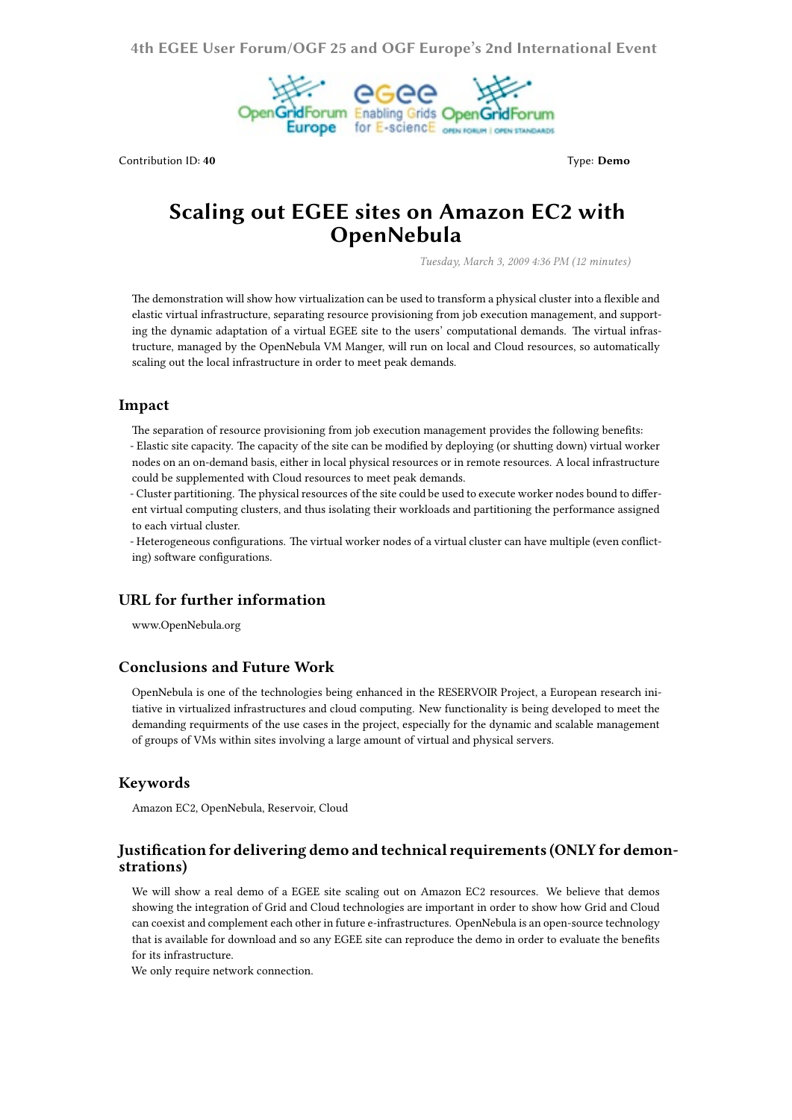**4th EGEE User Forum/OGF 25 and OGF Europe's 2nd International Event**



Contribution ID: 40 **Type: Demo** Type: Demo

# **Scaling out EGEE sites on Amazon EC2 with OpenNebula**

*Tuesday, March 3, 2009 4:36 PM (12 minutes)*

The demonstration will show how virtualization can be used to transform a physical cluster into a flexible and elastic virtual infrastructure, separating resource provisioning from job execution management, and supporting the dynamic adaptation of a virtual EGEE site to the users' computational demands. The virtual infrastructure, managed by the OpenNebula VM Manger, will run on local and Cloud resources, so automatically scaling out the local infrastructure in order to meet peak demands.

#### **Impact**

The separation of resource provisioning from job execution management provides the following benefits: - Elastic site capacity. The capacity of the site can be modified by deploying (or shutting down) virtual worker nodes on an on-demand basis, either in local physical resources or in remote resources. A local infrastructure could be supplemented with Cloud resources to meet peak demands.

- Cluster partitioning. The physical resources of the site could be used to execute worker nodes bound to different virtual computing clusters, and thus isolating their workloads and partitioning the performance assigned to each virtual cluster.

- Heterogeneous configurations. The virtual worker nodes of a virtual cluster can have multiple (even conflicting) software configurations.

#### **URL for further information**

www.OpenNebula.org

## **Conclusions and Future Work**

OpenNebula is one of the technologies being enhanced in the RESERVOIR Project, a European research initiative in virtualized infrastructures and cloud computing. New functionality is being developed to meet the demanding requirments of the use cases in the project, especially for the dynamic and scalable management of groups of VMs within sites involving a large amount of virtual and physical servers.

#### **Keywords**

Amazon EC2, OpenNebula, Reservoir, Cloud

### **Justification for delivering demo and technical requirements (ONLY for demonstrations)**

We will show a real demo of a EGEE site scaling out on Amazon EC2 resources. We believe that demos showing the integration of Grid and Cloud technologies are important in order to show how Grid and Cloud can coexist and complement each other in future e-infrastructures. OpenNebula is an open-source technology that is available for download and so any EGEE site can reproduce the demo in order to evaluate the benefits for its infrastructure.

We only require network connection.